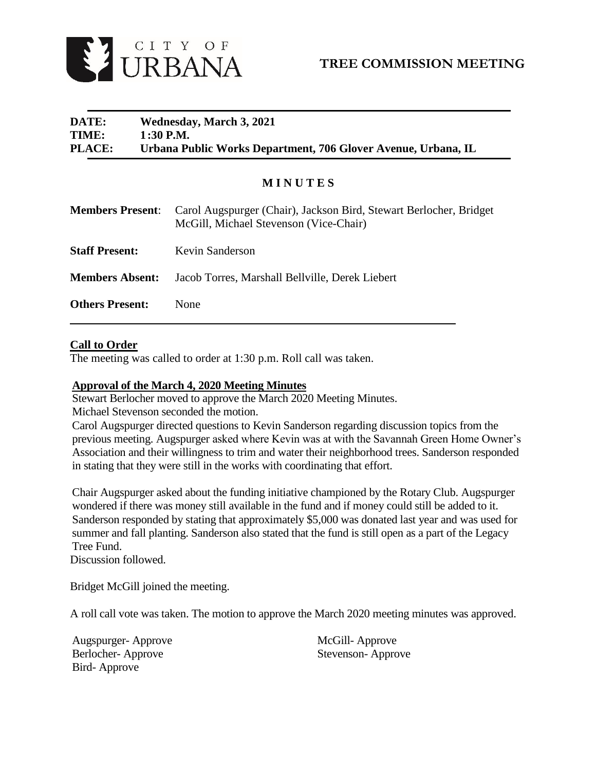

# **DATE: Wednesday, March 3, 2021 TIME: 1:30 P.M. PLACE: Urbana Public Works Department, 706 Glover Avenue, Urbana, IL**

# **M I N U T E S**

| <b>Members Present:</b> | Carol Augspurger (Chair), Jackson Bird, Stewart Berlocher, Bridget<br>McGill, Michael Stevenson (Vice-Chair) |
|-------------------------|--------------------------------------------------------------------------------------------------------------|
| <b>Staff Present:</b>   | Kevin Sanderson                                                                                              |
| <b>Members Absent:</b>  | Jacob Torres, Marshall Bellville, Derek Liebert                                                              |
| <b>Others Present:</b>  | None                                                                                                         |

## **Call to Order**

The meeting was called to order at 1:30 p.m. Roll call was taken.

### **Approval of the March 4, 2020 Meeting Minutes**

Stewart Berlocher moved to approve the March 2020 Meeting Minutes.

Michael Stevenson seconded the motion.

Carol Augspurger directed questions to Kevin Sanderson regarding discussion topics from the previous meeting. Augspurger asked where Kevin was at with the Savannah Green Home Owner's Association and their willingness to trim and water their neighborhood trees. Sanderson responded in stating that they were still in the works with coordinating that effort.

Chair Augspurger asked about the funding initiative championed by the Rotary Club. Augspurger wondered if there was money still available in the fund and if money could still be added to it. Sanderson responded by stating that approximately \$5,000 was donated last year and was used for summer and fall planting. Sanderson also stated that the fund is still open as a part of the Legacy Tree Fund.

Discussion followed.

Bridget McGill joined the meeting.

A roll call vote was taken. The motion to approve the March 2020 meeting minutes was approved.

Augspurger- Approve Berlocher- Approve Bird- Approve

McGill- Approve Stevenson- Approve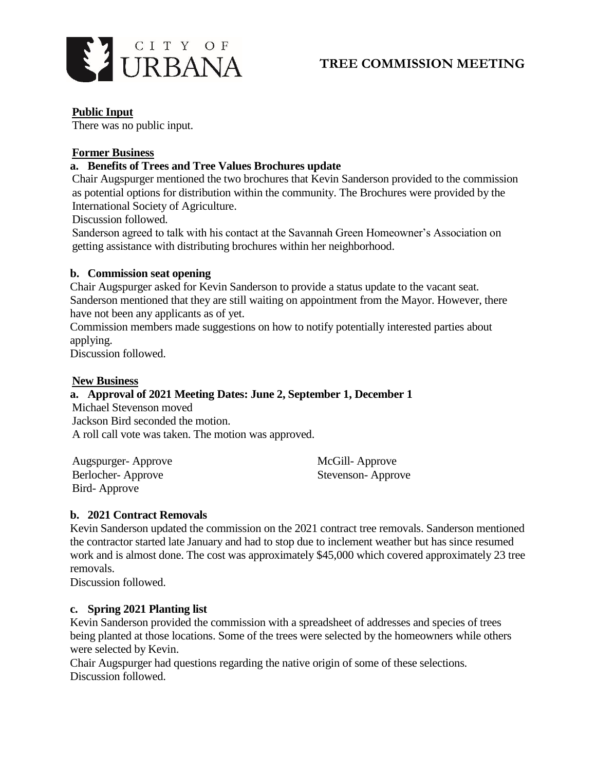

# **TREE COMMISSION MEETING**

## **Public Input**

There was no public input.

## **Former Business**

## **a. Benefits of Trees and Tree Values Brochures update**

Chair Augspurger mentioned the two brochures that Kevin Sanderson provided to the commission as potential options for distribution within the community. The Brochures were provided by the International Society of Agriculture.

Discussion followed.

Sanderson agreed to talk with his contact at the Savannah Green Homeowner's Association on getting assistance with distributing brochures within her neighborhood.

### **b. Commission seat opening**

Chair Augspurger asked for Kevin Sanderson to provide a status update to the vacant seat. Sanderson mentioned that they are still waiting on appointment from the Mayor. However, there have not been any applicants as of yet.

Commission members made suggestions on how to notify potentially interested parties about applying.

Discussion followed.

#### **New Business**

## **a. Approval of 2021 Meeting Dates: June 2, September 1, December 1**

Michael Stevenson moved Jackson Bird seconded the motion. A roll call vote was taken. The motion was approved.

| Augspurger-Approve | McGill-Approve    |
|--------------------|-------------------|
| Berlocher-Approve  | Stevenson-Approve |
| Bird-Approve       |                   |

### **b. 2021 Contract Removals**

Kevin Sanderson updated the commission on the 2021 contract tree removals. Sanderson mentioned the contractor started late January and had to stop due to inclement weather but has since resumed work and is almost done. The cost was approximately \$45,000 which covered approximately 23 tree removals.

Discussion followed.

### **c. Spring 2021 Planting list**

Kevin Sanderson provided the commission with a spreadsheet of addresses and species of trees being planted at those locations. Some of the trees were selected by the homeowners while others were selected by Kevin.

Chair Augspurger had questions regarding the native origin of some of these selections. Discussion followed.